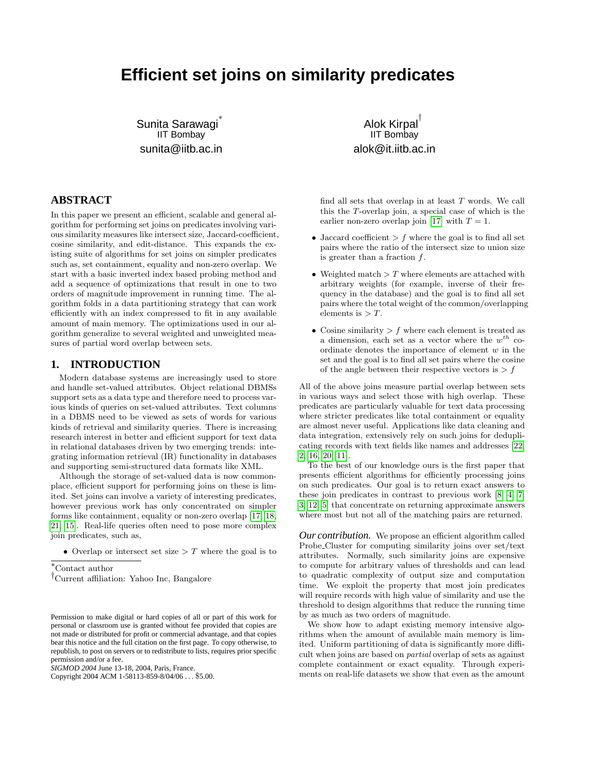# **Efficient set joins on similarity predicates**

Sunita Sarawagi ∗ IIT Bombay sunita@iitb.ac.in

# **ABSTRACT**

In this paper we present an efficient, scalable and general algorithm for performing set joins on predicates involving various similarity measures like intersect size, Jaccard-coefficient, cosine similarity, and edit-distance. This expands the existing suite of algorithms for set joins on simpler predicates such as, set containment, equality and non-zero overlap. We start with a basic inverted index based probing method and add a sequence of optimizations that result in one to two orders of magnitude improvement in running time. The algorithm folds in a data partitioning strategy that can work efficiently with an index compressed to fit in any available amount of main memory. The optimizations used in our algorithm generalize to several weighted and unweighted measures of partial word overlap between sets.

## **1. INTRODUCTION**

Modern database systems are increasingly used to store and handle set-valued attributes. Object relational DBMSs support sets as a data type and therefore need to process various kinds of queries on set-valued attributes. Text columns in a DBMS need to be viewed as sets of words for various kinds of retrieval and similarity queries. There is increasing research interest in better and efficient support for text data in relational databases driven by two emerging trends: integrating information retrieval (IR) functionality in databases and supporting semi-structured data formats like XML.

Although the storage of set-valued data is now commonplace, efficient support for performing joins on these is limited. Set joins can involve a variety of interesting predicates, however previous work has only concentrated on simpler forms like containment, equality or non-zero overlap [\[17,](#page-11-0) [18,](#page-11-1) [21,](#page-11-2) [15\]](#page-11-3). Real-life queries often need to pose more complex join predicates, such as,

• Overlap or intersect set size  $>T$  where the goal is to

<sup>∗</sup>Contact author

†Current affiliation: Yahoo Inc, Bangalore

*SIGMOD 2004* June 13-18, 2004, Paris, France.

Copyright 2004 ACM 1-58113-859-8/04/06 . . . \$5.00.

Alok Kirpal<sup>†</sup> IIT Bombay alok@it.iitb.ac.in

find all sets that overlap in at least  $T$  words. We call this the T-overlap join, a special case of which is the earlier non-zero overlap join [\[17\]](#page-11-0) with  $T = 1$ .

- Jaccard coefficient  $\geq f$  where the goal is to find all set pairs where the ratio of the intersect size to union size is greater than a fraction f.
- Weighted match  $\geq T$  where elements are attached with arbitrary weights (for example, inverse of their frequency in the database) and the goal is to find all set pairs where the total weight of the common/overlapping elements is  $>T$ .
- Cosine similarity  $> f$  where each element is treated as a dimension, each set as a vector where the  $w^{th}$  coordinate denotes the importance of element  $w$  in the set and the goal is to find all set pairs where the cosine of the angle between their respective vectors is  $\geq f$

All of the above joins measure partial overlap between sets in various ways and select those with high overlap. These predicates are particularly valuable for text data processing where stricter predicates like total containment or equality are almost never useful. Applications like data cleaning and data integration, extensively rely on such joins for deduplicating records with text fields like names and addresses [\[22,](#page-11-4) [2,](#page-11-5) [16,](#page-11-6) [20,](#page-11-7) [11\]](#page-11-8).

To the best of our knowledge ours is the first paper that presents efficient algorithms for efficiently processing joins on such predicates. Our goal is to return exact answers to these join predicates in contrast to previous work [\[8,](#page-11-9) [4,](#page-11-10) [7,](#page-11-11) [3,](#page-11-12) [12,](#page-11-13) [5\]](#page-11-14) that concentrate on returning approximate answers where most but not all of the matching pairs are returned.

*Our contribution.* We propose an efficient algorithm called Probe Cluster for computing similarity joins over set/text attributes. Normally, such similarity joins are expensive to compute for arbitrary values of thresholds and can lead to quadratic complexity of output size and computation time. We exploit the property that most join predicates will require records with high value of similarity and use the threshold to design algorithms that reduce the running time by as much as two orders of magnitude.

We show how to adapt existing memory intensive algorithms when the amount of available main memory is limited. Uniform partitioning of data is significantly more difficult when joins are based on partial overlap of sets as against complete containment or exact equality. Through experiments on real-life datasets we show that even as the amount

Permission to make digital or hard copies of all or part of this work for personal or classroom use is granted without fee provided that copies are not made or distributed for profit or commercial advantage, and that copies bear this notice and the full citation on the first page. To copy otherwise, to republish, to post on servers or to redistribute to lists, requires prior specific permission and/or a fee.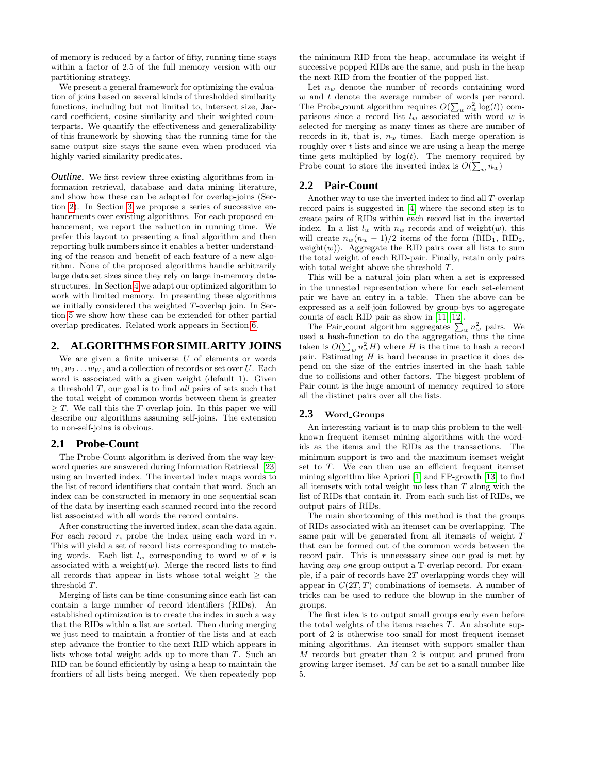of memory is reduced by a factor of fifty, running time stays within a factor of 2.5 of the full memory version with our partitioning strategy.

We present a general framework for optimizing the evaluation of joins based on several kinds of thresholded similarity functions, including but not limited to, intersect size, Jaccard coefficient, cosine similarity and their weighted counterparts. We quantify the effectiveness and generalizability of this framework by showing that the running time for the same output size stays the same even when produced via highly varied similarity predicates.

*Outline.* We first review three existing algorithms from information retrieval, database and data mining literature, and show how these can be adapted for overlap-joins (Section [2\)](#page-1-0). In Section [3](#page-2-0) we propose a series of successive enhancements over existing algorithms. For each proposed enhancement, we report the reduction in running time. We prefer this layout to presenting a final algorithm and then reporting bulk numbers since it enables a better understanding of the reason and benefit of each feature of a new algorithm. None of the proposed algorithms handle arbitrarily large data set sizes since they rely on large in-memory datastructures. In Section [4](#page-5-0) we adapt our optimized algorithm to work with limited memory. In presenting these algorithms we initially considered the weighted T-overlap join. In Section [5](#page-7-0) we show how these can be extended for other partial overlap predicates. Related work appears in Section [6.](#page-10-0)

## <span id="page-1-0"></span>**2. ALGORITHMS FOR SIMILARITY JOINS**

We are given a finite universe  $U$  of elements or words  $w_1, w_2 \ldots w_W$ , and a collection of records or set over U. Each word is associated with a given weight (default 1). Given a threshold  $T$ , our goal is to find *all* pairs of sets such that the total weight of common words between them is greater  $\geq T$ . We call this the T-overlap join. In this paper we will describe our algorithms assuming self-joins. The extension to non-self-joins is obvious.

### <span id="page-1-1"></span>**2.1 Probe-Count**

The Probe-Count algorithm is derived from the way keyword queries are answered during Information Retrieval [\[23\]](#page-11-15) using an inverted index. The inverted index maps words to the list of record identifiers that contain that word. Such an index can be constructed in memory in one sequential scan of the data by inserting each scanned record into the record list associated with all words the record contains.

After constructing the inverted index, scan the data again. For each record  $r$ , probe the index using each word in  $r$ . This will yield a set of record lists corresponding to matching words. Each list  $l_w$  corresponding to word w of r is associated with a weight $(w)$ . Merge the record lists to find all records that appear in lists whose total weight  $>$  the threshold T.

Merging of lists can be time-consuming since each list can contain a large number of record identifiers (RIDs). An established optimization is to create the index in such a way that the RIDs within a list are sorted. Then during merging we just need to maintain a frontier of the lists and at each step advance the frontier to the next RID which appears in lists whose total weight adds up to more than T. Such an RID can be found efficiently by using a heap to maintain the frontiers of all lists being merged. We then repeatedly pop the minimum RID from the heap, accumulate its weight if successive popped RIDs are the same, and push in the heap the next RID from the frontier of the popped list.

Let  $n_w$  denote the number of records containing word w and t denote the average number of words per record. The Probe count algorithm requires  $O(\sum_{w} n_w^2 \log(t))$  comparisons since a record list  $l_w$  associated with word w is selected for merging as many times as there are number of records in it, that is,  $n_w$  times. Each merge operation is roughly over  $t$  lists and since we are using a heap the merge time gets multiplied by  $log(t)$ . The memory required by Probe<sub>-count</sub> to store the inverted index is  $O(\sum_{w} n_w)$ 

## **2.2 Pair-Count**

Another way to use the inverted index to find all T-overlap record pairs is suggested in [\[4\]](#page-11-10) where the second step is to create pairs of RIDs within each record list in the inverted index. In a list  $l_w$  with  $n_w$  records and of weight $(w)$ , this will create  $n_w(n_w - 1)/2$  items of the form (RID<sub>1</sub>, RID<sub>2</sub>, weight $(w)$ ). Aggregate the RID pairs over all lists to sum the total weight of each RID-pair. Finally, retain only pairs with total weight above the threshold T.

This will be a natural join plan when a set is expressed in the unnested representation where for each set-element pair we have an entry in a table. Then the above can be expressed as a self-join followed by group-bys to aggregate counts of each RID pair as show in [\[11,](#page-11-8) [12\]](#page-11-13).

The Pair count algorithm aggregates  $\sum_{w} n_w^2$  pairs. We used a hash-function to do the aggregation, thus the time taken is  $O(\sum_{w} n_w^2 H)$  where H is the time to hash a record pair. Estimating  $H$  is hard because in practice it does depend on the size of the entries inserted in the hash table due to collisions and other factors. The biggest problem of Pair count is the huge amount of memory required to store all the distinct pairs over all the lists.

### <span id="page-1-2"></span>2.3 Word\_Groups

An interesting variant is to map this problem to the wellknown frequent itemset mining algorithms with the wordids as the items and the RIDs as the transactions. The minimum support is two and the maximum itemset weight set to  $T$ . We can then use an efficient frequent itemset mining algorithm like Apriori [\[1\]](#page-11-16) and FP-growth [\[13\]](#page-11-17) to find all itemsets with total weight no less than  $T$  along with the list of RIDs that contain it. From each such list of RIDs, we output pairs of RIDs.

The main shortcoming of this method is that the groups of RIDs associated with an itemset can be overlapping. The same pair will be generated from all itemsets of weight T that can be formed out of the common words between the record pair. This is unnecessary since our goal is met by having any one group output a T-overlap record. For example, if a pair of records have  $2T$  overlapping words they will appear in  $C(2T, T)$  combinations of itemsets. A number of tricks can be used to reduce the blowup in the number of groups.

The first idea is to output small groups early even before the total weights of the items reaches  $T$ . An absolute support of 2 is otherwise too small for most frequent itemset mining algorithms. An itemset with support smaller than M records but greater than 2 is output and pruned from growing larger itemset. M can be set to a small number like 5.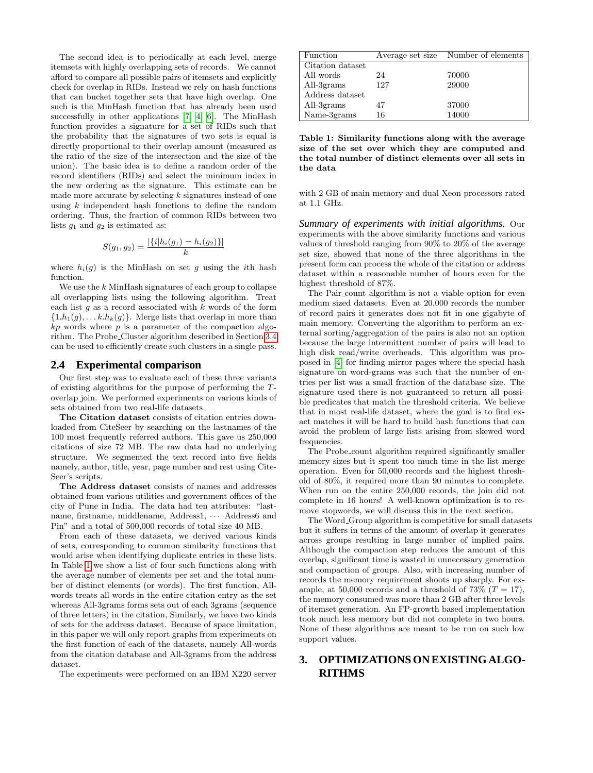The second idea is to periodically at each level, merge itemsets with highly overlapping sets of records. We cannot afford to compare all possible pairs of itemsets and explicitly check for overlap in RIDs. Instead we rely on hash functions that can bucket together sets that have high overlap. One such is the MinHash function that has already been used successfully in other applications [\[7,](#page-11-11) [4,](#page-11-10) [6\]](#page-11-18). The MinHash function provides a signature for a set of RIDs such that the probability that the signatures of two sets is equal is directly proportional to their overlap amount (measured as the ratio of the size of the intersection and the size of the union). The basic idea is to define a random order of the record identifiers (RIDs) and select the minimum index in the new ordering as the signature. This estimate can be made more accurate by selecting  $k$  signatures instead of one using k independent hash functions to define the random ordering. Thus, the fraction of common RIDs between two lists  $g_1$  and  $g_2$  is estimated as:

$$
S(g_1, g_2) = \frac{|\{i|h_i(g_1) = h_i(g_2)\}|}{k}
$$

where  $h_i(g)$  is the MinHash on set g using the *i*th hash function.

We use the  $k$  MinHash signatures of each group to collapse all overlapping lists using the following algorithm. Treat each list  $g$  as a record associated with  $k$  words of the form  $\{1.h_1(q), \ldots k.h_k(q)\}\$ . Merge lists that overlap in more than  $kp$  words where p is a parameter of the compaction algorithm. The Probe Cluster algorithm described in Section [3.4](#page-5-1) can be used to efficiently create such clusters in a single pass.

#### <span id="page-2-2"></span>**2.4 Experimental comparison**

Our first step was to evaluate each of these three variants of existing algorithms for the purpose of performing the Toverlap join. We performed experiments on various kinds of sets obtained from two real-life datasets.

The Citation dataset consists of citation entries downloaded from CiteSeer by searching on the lastnames of the 100 most frequently referred authors. This gave us 250,000 citations of size 72 MB. The raw data had no underlying structure. We segmented the text record into five fields namely, author, title, year, page number and rest using Cite-Seer's scripts.

The Address dataset consists of names and addresses obtained from various utilities and government offices of the city of Pune in India. The data had ten attributes: "lastname, firstname, middlename, Address1,  $\cdots$  Address6 and Pin" and a total of 500,000 records of total size 40 MB.

From each of these datasets, we derived various kinds of sets, corresponding to common similarity functions that would arise when identifying duplicate entries in these lists. In Table [1](#page-2-1) we show a list of four such functions along with the average number of elements per set and the total number of distinct elements (or words). The first function, Allwords treats all words in the entire citation entry as the set whereas All-3grams forms sets out of each 3grams (sequence of three letters) in the citation, Similarly, we have two kinds of sets for the address dataset. Because of space limitation, in this paper we will only report graphs from experiments on the first function of each of the datasets, namely All-words from the citation database and All-3grams from the address dataset.

The experiments were performed on an IBM X220 server

| Average set size Number of elements |
|-------------------------------------|
|                                     |
|                                     |
|                                     |
|                                     |
|                                     |
|                                     |
|                                     |

<span id="page-2-1"></span>Table 1: Similarity functions along with the average size of the set over which they are computed and the total number of distinct elements over all sets in the data

with 2 GB of main memory and dual Xeon processors rated at 1.1 GHz.

*Summary of experiments with initial algorithms.* Our experiments with the above similarity functions and various values of threshold ranging from 90% to 20% of the average set size, showed that none of the three algorithms in the present form can process the whole of the citation or address dataset within a reasonable number of hours even for the highest threshold of 87%.

The Pair count algorithm is not a viable option for even medium sized datasets. Even at 20,000 records the number of record pairs it generates does not fit in one gigabyte of main memory. Converting the algorithm to perform an external sorting/aggregation of the pairs is also not an option because the large intermittent number of pairs will lead to high disk read/write overheads. This algorithm was proposed in [\[4\]](#page-11-10) for finding mirror pages where the special hash signature on word-grams was such that the number of entries per list was a small fraction of the database size. The signature used there is not guaranteed to return all possible predicates that match the threshold criteria. We believe that in most real-life dataset, where the goal is to find exact matches it will be hard to build hash functions that can avoid the problem of large lists arising from skewed word frequencies.

The Probe count algorithm required significantly smaller memory sizes but it spent too much time in the list merge operation. Even for 50,000 records and the highest threshold of 80%, it required more than 90 minutes to complete. When run on the entire 250,000 records, the join did not complete in 16 hours! A well-known optimization is to remove stopwords, we will discuss this in the next section.

The Word Group algorithm is competitive for small datasets but it suffers in terms of the amount of overlap it generates across groups resulting in large number of implied pairs. Although the compaction step reduces the amount of this overlap, significant time is wasted in unnecessary generation and compaction of groups. Also, with increasing number of records the memory requirement shoots up sharply. For example, at 50,000 records and a threshold of 73% ( $T = 17$ ), the memory consumed was more than 2 GB after three levels of itemset generation. An FP-growth based implementation took much less memory but did not complete in two hours. None of these algorithms are meant to be run on such low support values.

# <span id="page-2-0"></span>**3. OPTIMIZATIONS ON EXISTING ALGO-RITHMS**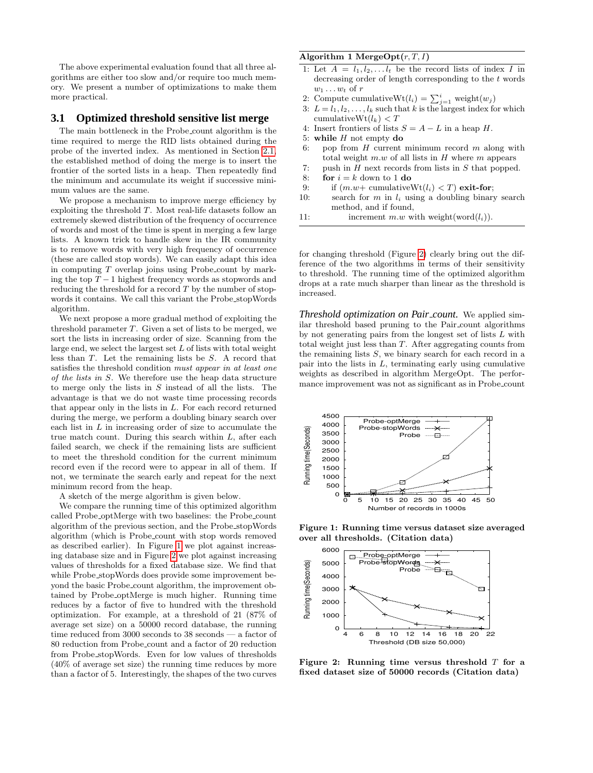The above experimental evaluation found that all three algorithms are either too slow and/or require too much memory. We present a number of optimizations to make them more practical.

#### <span id="page-3-2"></span>**3.1 Optimized threshold sensitive list merge**

The main bottleneck in the Probe count algorithm is the time required to merge the RID lists obtained during the probe of the inverted index. As mentioned in Section [2.1,](#page-1-1) the established method of doing the merge is to insert the frontier of the sorted lists in a heap. Then repeatedly find the minimum and accumulate its weight if successive minimum values are the same.

We propose a mechanism to improve merge efficiency by exploiting the threshold T. Most real-life datasets follow an extremely skewed distribution of the frequency of occurrence of words and most of the time is spent in merging a few large lists. A known trick to handle skew in the IR community is to remove words with very high frequency of occurrence (these are called stop words). We can easily adapt this idea in computing T overlap joins using Probe count by marking the top  $T - 1$  highest frequency words as stopwords and reducing the threshold for a record  $T$  by the number of stopwords it contains. We call this variant the Probe stopWords algorithm.

We next propose a more gradual method of exploiting the threshold parameter  $T$ . Given a set of lists to be merged, we sort the lists in increasing order of size. Scanning from the large end, we select the largest set  $L$  of lists with total weight less than T. Let the remaining lists be S. A record that satisfies the threshold condition must appear in at least one of the lists in S. We therefore use the heap data structure to merge only the lists in  $S$  instead of all the lists. The advantage is that we do not waste time processing records that appear only in the lists in L. For each record returned during the merge, we perform a doubling binary search over each list in  $L$  in increasing order of size to accumulate the true match count. During this search within L, after each failed search, we check if the remaining lists are sufficient to meet the threshold condition for the current minimum record even if the record were to appear in all of them. If not, we terminate the search early and repeat for the next minimum record from the heap.

A sketch of the merge algorithm is given below.

We compare the running time of this optimized algorithm called Probe optMerge with two baselines: the Probe count algorithm of the previous section, and the Probe stopWords algorithm (which is Probe count with stop words removed as described earlier). In Figure [1](#page-3-0) we plot against increasing database size and in Figure [2](#page-3-1) we plot against increasing values of thresholds for a fixed database size. We find that while Probe stopWords does provide some improvement beyond the basic Probe count algorithm, the improvement obtained by Probe optMerge is much higher. Running time reduces by a factor of five to hundred with the threshold optimization. For example, at a threshold of 21 (87% of average set size) on a 50000 record database, the running time reduced from 3000 seconds to 38 seconds — a factor of 80 reduction from Probe count and a factor of 20 reduction from Probe stopWords. Even for low values of thresholds (40% of average set size) the running time reduces by more than a factor of 5. Interestingly, the shapes of the two curves

## Algorithm 1 MergeOpt $(r, T, I)$

- 1: Let  $A = l_1, l_2, \ldots l_t$  be the record lists of index I in decreasing order of length corresponding to the  $t$  words  $w_1 \ldots w_t$  of r
- 2: Compute cumulative $\text{Wt}(l_i) = \sum_{j=1}^{i}$  weight $(w_j)$
- 3:  $L = l_1, l_2, \ldots, l_k$  such that k is the largest index for which cumulative $Wt(l_k) < T$
- 4: Insert frontiers of lists  $S = A L$  in a heap H.
- 5: while  $H$  not empty do
- 6: pop from  $H$  current minimum record  $m$  along with total weight  $m.w$  of all lists in  $H$  where  $m$  appears
- 7: push in  $H$  next records from lists in  $S$  that popped.
- 8: for  $i = k$  down to 1 do
- 9: if  $(m.w + \text{cumulativeWt}(l_i) < T)$  exit-for;
- 10: search for m in  $l_i$  using a doubling binary search method, and if found,
- 11: increment  $m.w$  with weight(word $(l_i)$ ).

for changing threshold (Figure [2\)](#page-3-1) clearly bring out the difference of the two algorithms in terms of their sensitivity to threshold. The running time of the optimized algorithm drops at a rate much sharper than linear as the threshold is increased.

*Threshold optimization on Pair\_count.* We applied similar threshold based pruning to the Pair count algorithms by not generating pairs from the longest set of lists L with total weight just less than T. After aggregating counts from the remaining lists S, we binary search for each record in a pair into the lists in  $L$ , terminating early using cumulative weights as described in algorithm MergeOpt. The performance improvement was not as significant as in Probe count



<span id="page-3-0"></span>Figure 1: Running time versus dataset size averaged over all thresholds. (Citation data)



<span id="page-3-1"></span>Figure 2: Running time versus threshold  $T$  for a fixed dataset size of 50000 records (Citation data)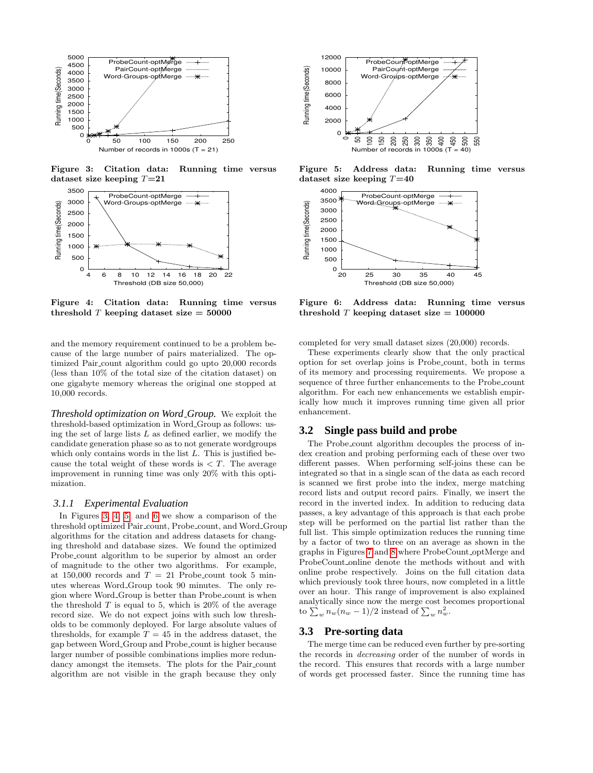

Figure 3: Citation data: Running time versus dataset size keeping  $T=21$ 



Figure 4: Citation data: Running time versus threshold  $T$  keeping dataset size = 50000

and the memory requirement continued to be a problem because of the large number of pairs materialized. The optimized Pair count algorithm could go upto 20,000 records (less than 10% of the total size of the citation dataset) on one gigabyte memory whereas the original one stopped at 10,000 records.

*Threshold optimization on Word Group.* We exploit the threshold-based optimization in Word Group as follows: using the set of large lists  $L$  as defined earlier, we modify the candidate generation phase so as to not generate wordgroups which only contains words in the list  $L$ . This is justified because the total weight of these words is  $\lt T$ . The average improvement in running time was only 20% with this optimization.

#### *3.1.1 Experimental Evaluation*

In Figures [3,](#page-4-0) [4,](#page-4-1) [5,](#page-4-2) and [6](#page-4-3) we show a comparison of the threshold optimized Pair count, Probe count, and Word Group algorithms for the citation and address datasets for changing threshold and database sizes. We found the optimized Probe count algorithm to be superior by almost an order of magnitude to the other two algorithms. For example, at 150,000 records and  $T = 21$  Probe count took 5 minutes whereas Word Group took 90 minutes. The only region where Word Group is better than Probe count is when the threshold  $T$  is equal to 5, which is  $20\%$  of the average record size. We do not expect joins with such low thresholds to be commonly deployed. For large absolute values of thresholds, for example  $T = 45$  in the address dataset, the gap between Word Group and Probe count is higher because larger number of possible combinations implies more redundancy amongst the itemsets. The plots for the Pair count algorithm are not visible in the graph because they only



<span id="page-4-2"></span><span id="page-4-0"></span>Figure 5: Address data: Running time versus dataset size keeping  $T=40$ 



<span id="page-4-3"></span><span id="page-4-1"></span>Figure 6: Address data: Running time versus threshold  $T$  keeping dataset size = 100000

completed for very small dataset sizes (20,000) records.

These experiments clearly show that the only practical option for set overlap joins is Probe count, both in terms of its memory and processing requirements. We propose a sequence of three further enhancements to the Probe count algorithm. For each new enhancements we establish empirically how much it improves running time given all prior enhancement.

## **3.2 Single pass build and probe**

The Probe count algorithm decouples the process of index creation and probing performing each of these over two different passes. When performing self-joins these can be integrated so that in a single scan of the data as each record is scanned we first probe into the index, merge matching record lists and output record pairs. Finally, we insert the record in the inverted index. In addition to reducing data passes, a key advantage of this approach is that each probe step will be performed on the partial list rather than the full list. This simple optimization reduces the running time by a factor of two to three on an average as shown in the graphs in Figures [7](#page-5-2) and [8](#page-5-3) where ProbeCount optMerge and ProbeCount online denote the methods without and with online probe respectively. Joins on the full citation data which previously took three hours, now completed in a little over an hour. This range of improvement is also explained analytically since now the merge cost becomes proportional to  $\sum_{w} n_w (n_w - 1)/2$  instead of  $\sum_{w} n_w^2$ .

## <span id="page-4-4"></span>**3.3 Pre-sorting data**

The merge time can be reduced even further by pre-sorting the records in decreasing order of the number of words in the record. This ensures that records with a large number of words get processed faster. Since the running time has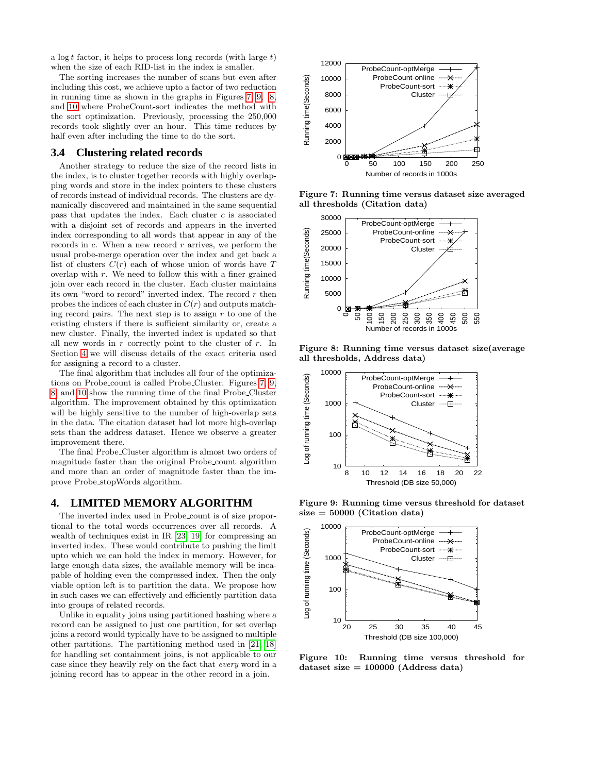a  $\log t$  factor, it helps to process long records (with large t) when the size of each RID-list in the index is smaller.

The sorting increases the number of scans but even after including this cost, we achieve upto a factor of two reduction in running time as shown in the graphs in Figures [7,](#page-5-2) [9,](#page-5-4) [8,](#page-5-3) and [10](#page-5-5) where ProbeCount-sort indicates the method with the sort optimization. Previously, processing the 250,000 records took slightly over an hour. This time reduces by half even after including the time to do the sort.

## <span id="page-5-1"></span>**3.4 Clustering related records**

Another strategy to reduce the size of the record lists in the index, is to cluster together records with highly overlapping words and store in the index pointers to these clusters of records instead of individual records. The clusters are dynamically discovered and maintained in the same sequential pass that updates the index. Each cluster  $c$  is associated with a disjoint set of records and appears in the inverted index corresponding to all words that appear in any of the records in  $c$ . When a new record  $r$  arrives, we perform the usual probe-merge operation over the index and get back a list of clusters  $C(r)$  each of whose union of words have T overlap with  $r$ . We need to follow this with a finer grained join over each record in the cluster. Each cluster maintains its own "word to record" inverted index. The record  $r$  then probes the indices of each cluster in  $C(r)$  and outputs matching record pairs. The next step is to assign  $r$  to one of the existing clusters if there is sufficient similarity or, create a new cluster. Finally, the inverted index is updated so that all new words in  $r$  correctly point to the cluster of  $r$ . In Section [4](#page-5-0) we will discuss details of the exact criteria used for assigning a record to a cluster.

The final algorithm that includes all four of the optimizations on Probe count is called Probe Cluster. Figures [7,](#page-5-2) [9,](#page-5-4) [8,](#page-5-3) and [10](#page-5-5) show the running time of the final Probe Cluster algorithm. The improvement obtained by this optimization will be highly sensitive to the number of high-overlap sets in the data. The citation dataset had lot more high-overlap sets than the address dataset. Hence we observe a greater improvement there.

The final Probe Cluster algorithm is almost two orders of magnitude faster than the original Probe count algorithm and more than an order of magnitude faster than the improve Probe stopWords algorithm.

# <span id="page-5-0"></span>**4. LIMITED MEMORY ALGORITHM**

The inverted index used in Probe count is of size proportional to the total words occurrences over all records. A wealth of techniques exist in IR [\[23,](#page-11-15) [19\]](#page-11-19) for compressing an inverted index. These would contribute to pushing the limit upto which we can hold the index in memory. However, for large enough data sizes, the available memory will be incapable of holding even the compressed index. Then the only viable option left is to partition the data. We propose how in such cases we can effectively and efficiently partition data into groups of related records.

Unlike in equality joins using partitioned hashing where a record can be assigned to just one partition, for set overlap joins a record would typically have to be assigned to multiple other partitions. The partitioning method used in [\[21,](#page-11-2) [18\]](#page-11-1) for handling set containment joins, is not applicable to our case since they heavily rely on the fact that every word in a joining record has to appear in the other record in a join.



<span id="page-5-2"></span>Figure 7: Running time versus dataset size averaged all thresholds (Citation data)



<span id="page-5-3"></span>Figure 8: Running time versus dataset size(average all thresholds, Address data)



<span id="page-5-4"></span>Figure 9: Running time versus threshold for dataset  $size = 50000$  (Citation data)



<span id="page-5-5"></span>Figure 10: Running time versus threshold for dataset size  $= 100000$  (Address data)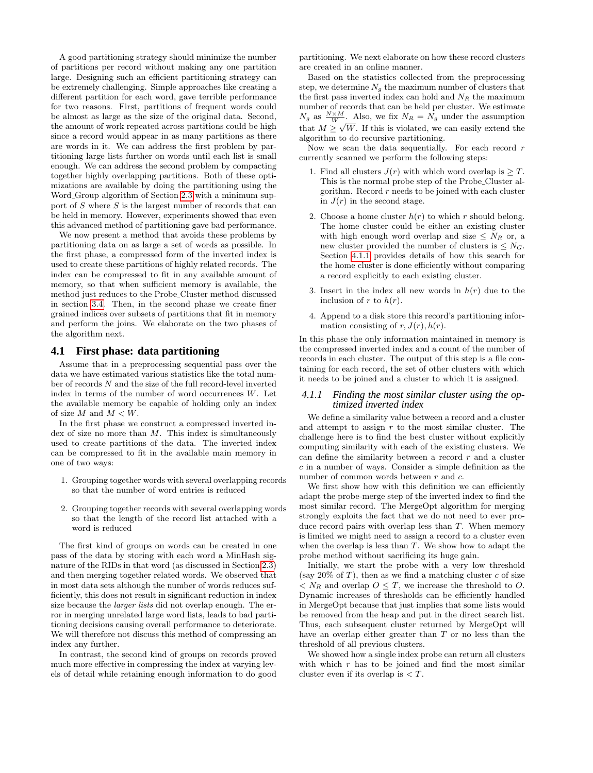A good partitioning strategy should minimize the number of partitions per record without making any one partition large. Designing such an efficient partitioning strategy can be extremely challenging. Simple approaches like creating a different partition for each word, gave terrible performance for two reasons. First, partitions of frequent words could be almost as large as the size of the original data. Second, the amount of work repeated across partitions could be high since a record would appear in as many partitions as there are words in it. We can address the first problem by partitioning large lists further on words until each list is small enough. We can address the second problem by compacting together highly overlapping partitions. Both of these optimizations are available by doing the partitioning using the Word Group algorithm of Section [2.3](#page-1-2) with a minimum support of S where S is the largest number of records that can be held in memory. However, experiments showed that even this advanced method of partitioning gave bad performance.

We now present a method that avoids these problems by partitioning data on as large a set of words as possible. In the first phase, a compressed form of the inverted index is used to create these partitions of highly related records. The index can be compressed to fit in any available amount of memory, so that when sufficient memory is available, the method just reduces to the Probe Cluster method discussed in section [3.4.](#page-5-1) Then, in the second phase we create finer grained indices over subsets of partitions that fit in memory and perform the joins. We elaborate on the two phases of the algorithm next.

## **4.1 First phase: data partitioning**

Assume that in a preprocessing sequential pass over the data we have estimated various statistics like the total number of records N and the size of the full record-level inverted index in terms of the number of word occurrences W. Let the available memory be capable of holding only an index of size  $M$  and  $M < W$ .

In the first phase we construct a compressed inverted index of size no more than  $M$ . This index is simultaneously used to create partitions of the data. The inverted index can be compressed to fit in the available main memory in one of two ways:

- 1. Grouping together words with several overlapping records so that the number of word entries is reduced
- 2. Grouping together records with several overlapping words so that the length of the record list attached with a word is reduced

The first kind of groups on words can be created in one pass of the data by storing with each word a MinHash signature of the RIDs in that word (as discussed in Section [2.3\)](#page-1-2) and then merging together related words. We observed that in most data sets although the number of words reduces sufficiently, this does not result in significant reduction in index size because the larger lists did not overlap enough. The error in merging unrelated large word lists, leads to bad partitioning decisions causing overall performance to deteriorate. We will therefore not discuss this method of compressing an index any further.

In contrast, the second kind of groups on records proved much more effective in compressing the index at varying levels of detail while retaining enough information to do good partitioning. We next elaborate on how these record clusters are created in an online manner.

Based on the statistics collected from the preprocessing step, we determine  $N_q$  the maximum number of clusters that the first pass inverted index can hold and  $N_R$  the maximum number of records that can be held per cluster. We estimate  $N_g$  as  $\frac{N \times M}{W}$ . Also, we fix  $N_R = N_g$  under the assumption that  $M \ge \sqrt{W}$ . If this is violated, we can easily extend the algorithm to do recursive partitioning.

Now we scan the data sequentially. For each record r currently scanned we perform the following steps:

- 1. Find all clusters  $J(r)$  with which word overlap is  $\geq T$ . This is the normal probe step of the Probe Cluster algorithm. Record  $r$  needs to be joined with each cluster in  $J(r)$  in the second stage.
- 2. Choose a home cluster  $h(r)$  to which r should belong. The home cluster could be either an existing cluster with high enough word overlap and size  $\leq N_R$  or, a new cluster provided the number of clusters is  $\leq N_G$ . Section [4.1.1](#page-6-0) provides details of how this search for the home cluster is done efficiently without comparing a record explicitly to each existing cluster.
- 3. Insert in the index all new words in  $h(r)$  due to the inclusion of r to  $h(r)$ .
- 4. Append to a disk store this record's partitioning information consisting of  $r, J(r), h(r)$ .

In this phase the only information maintained in memory is the compressed inverted index and a count of the number of records in each cluster. The output of this step is a file containing for each record, the set of other clusters with which it needs to be joined and a cluster to which it is assigned.

#### <span id="page-6-0"></span>*4.1.1 Finding the most similar cluster using the optimized inverted index*

We define a similarity value between a record and a cluster and attempt to assign  $r$  to the most similar cluster. The challenge here is to find the best cluster without explicitly computing similarity with each of the existing clusters. We can define the similarity between a record  $r$  and a cluster c in a number of ways. Consider a simple definition as the number of common words between r and c.

We first show how with this definition we can efficiently adapt the probe-merge step of the inverted index to find the most similar record. The MergeOpt algorithm for merging strongly exploits the fact that we do not need to ever produce record pairs with overlap less than  $T$ . When memory is limited we might need to assign a record to a cluster even when the overlap is less than  $T$ . We show how to adapt the probe method without sacrificing its huge gain.

Initially, we start the probe with a very low threshold (say  $20\%$  of T), then as we find a matching cluster c of size  $\langle N_R \rangle$  and overlap  $0 \leq T$ , we increase the threshold to O. Dynamic increases of thresholds can be efficiently handled in MergeOpt because that just implies that some lists would be removed from the heap and put in the direct search list. Thus, each subsequent cluster returned by MergeOpt will have an overlap either greater than T or no less than the threshold of all previous clusters.

We showed how a single index probe can return all clusters with which  $r$  has to be joined and find the most similar cluster even if its overlap is  $\langle T \rangle$ .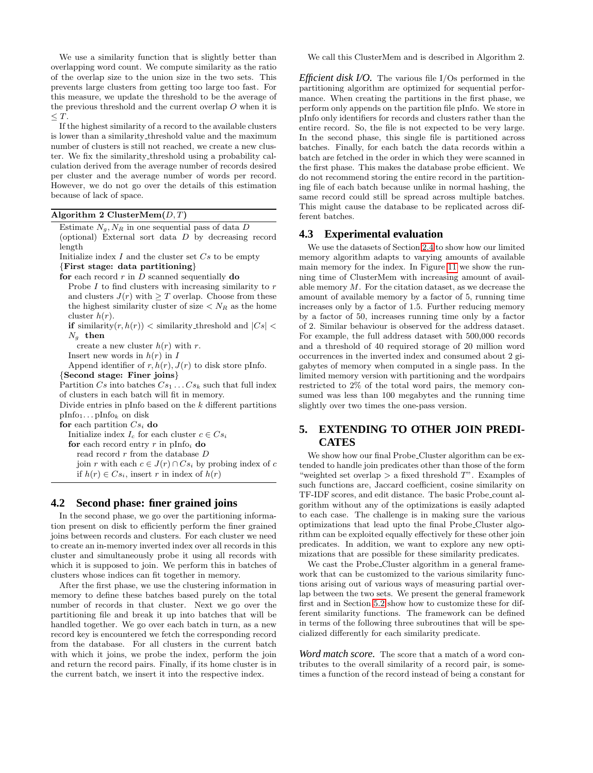We use a similarity function that is slightly better than overlapping word count. We compute similarity as the ratio of the overlap size to the union size in the two sets. This prevents large clusters from getting too large too fast. For this measure, we update the threshold to be the average of the previous threshold and the current overlap O when it is  $\leq T$ .

If the highest similarity of a record to the available clusters is lower than a similarity threshold value and the maximum number of clusters is still not reached, we create a new cluster. We fix the similarity threshold using a probability calculation derived from the average number of records desired per cluster and the average number of words per record. However, we do not go over the details of this estimation because of lack of space.

Algorithm 2 ClusterMem $(D, T)$ 

Estimate  $N_g$ ,  $N_R$  in one sequential pass of data D (optional) External sort data D by decreasing record length

Initialize index  $I$  and the cluster set  $Cs$  to be empty {First stage: data partitioning}

for each record  $r$  in  $D$  scanned sequentially do

Probe  $I$  to find clusters with increasing similarity to  $r$ and clusters  $J(r)$  with  $\geq T$  overlap. Choose from these the highest similarity cluster of size  $\langle N_R \rangle$  as the home cluster  $h(r)$ .

if similarity $(r, h(r))$  < similarity threshold and  $|Cs|$  <  $N_g$  then

create a new cluster  $h(r)$  with r.

Insert new words in  $h(r)$  in I

Append identifier of  $r, h(r), J(r)$  to disk store pInfo.

{Second stage: Finer joins}

Partition  $Cs$  into batches  $Cs_1 \ldots Cs_k$  such that full index of clusters in each batch will fit in memory.

Divide entries in pInfo based on the  $k$  different partitions  $\text{pInfo}_1 \dots \text{pInfo}_k$  on disk

for each partition  $Cs<sub>i</sub>$  do

Initialize index  $I_c$  for each cluster  $c \in Cs_i$ for each record entry  $r$  in pInfo<sub>i</sub> do read record  $r$  from the database  $D$ join r with each  $c \in J(r) \cap Cs_i$  by probing index of c

if  $h(r) \in Cs_i$ , insert r in index of  $h(r)$ 

# **4.2 Second phase: finer grained joins**

In the second phase, we go over the partitioning information present on disk to efficiently perform the finer grained joins between records and clusters. For each cluster we need to create an in-memory inverted index over all records in this cluster and simultaneously probe it using all records with which it is supposed to join. We perform this in batches of clusters whose indices can fit together in memory.

After the first phase, we use the clustering information in memory to define these batches based purely on the total number of records in that cluster. Next we go over the partitioning file and break it up into batches that will be handled together. We go over each batch in turn, as a new record key is encountered we fetch the corresponding record from the database. For all clusters in the current batch with which it joins, we probe the index, perform the join and return the record pairs. Finally, if its home cluster is in the current batch, we insert it into the respective index.

We call this ClusterMem and is described in Algorithm 2.

*Efficient disk I/O.* The various file I/Os performed in the partitioning algorithm are optimized for sequential performance. When creating the partitions in the first phase, we perform only appends on the partition file pInfo. We store in pInfo only identifiers for records and clusters rather than the entire record. So, the file is not expected to be very large. In the second phase, this single file is partitioned across batches. Finally, for each batch the data records within a batch are fetched in the order in which they were scanned in the first phase. This makes the database probe efficient. We do not recommend storing the entire record in the partitioning file of each batch because unlike in normal hashing, the same record could still be spread across multiple batches. This might cause the database to be replicated across different batches.

## **4.3 Experimental evaluation**

We use the datasets of Section [2.4](#page-2-2) to show how our limited memory algorithm adapts to varying amounts of available main memory for the index. In Figure [11](#page-8-0) we show the running time of ClusterMem with increasing amount of available memory  $M$ . For the citation dataset, as we decrease the amount of available memory by a factor of 5, running time increases only by a factor of 1.5. Further reducing memory by a factor of 50, increases running time only by a factor of 2. Similar behaviour is observed for the address dataset. For example, the full address dataset with 500,000 records and a threshold of 40 required storage of 20 million word occurrences in the inverted index and consumed about 2 gigabytes of memory when computed in a single pass. In the limited memory version with partitioning and the wordpairs restricted to 2% of the total word pairs, the memory consumed was less than 100 megabytes and the running time slightly over two times the one-pass version.

# <span id="page-7-0"></span>**5. EXTENDING TO OTHER JOIN PREDI-CATES**

We show how our final Probe Cluster algorithm can be extended to handle join predicates other than those of the form "weighted set overlap  $> a$  fixed threshold  $T$ ". Examples of such functions are, Jaccard coefficient, cosine similarity on TF-IDF scores, and edit distance. The basic Probe count algorithm without any of the optimizations is easily adapted to each case. The challenge is in making sure the various optimizations that lead upto the final Probe Cluster algorithm can be exploited equally effectively for these other join predicates. In addition, we want to explore any new optimizations that are possible for these similarity predicates.

We cast the Probe Cluster algorithm in a general framework that can be customized to the various similarity functions arising out of various ways of measuring partial overlap between the two sets. We present the general framework first and in Section [5.2](#page-9-0) show how to customize these for different similarity functions. The framework can be defined in terms of the following three subroutines that will be specialized differently for each similarity predicate.

*Word match score.* The score that a match of a word contributes to the overall similarity of a record pair, is sometimes a function of the record instead of being a constant for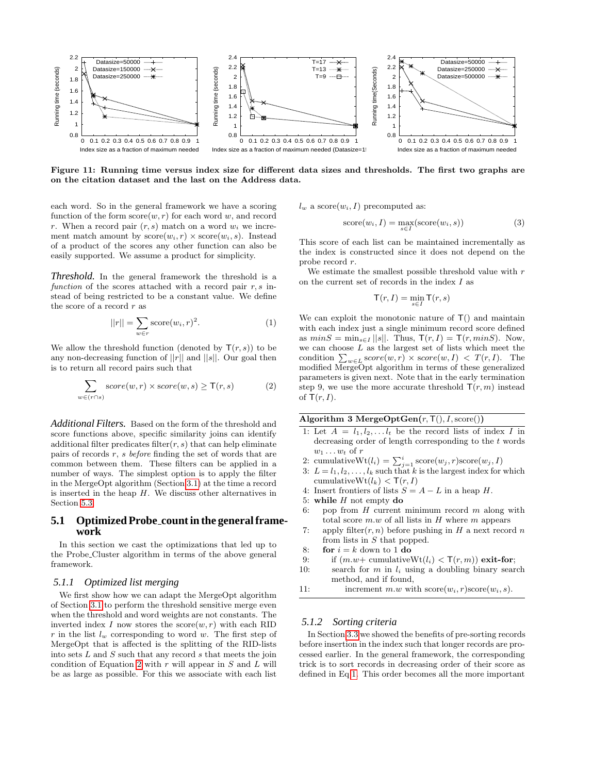

<span id="page-8-0"></span>Figure 11: Running time versus index size for different data sizes and thresholds. The first two graphs are on the citation dataset and the last on the Address data.

each word. So in the general framework we have a scoring function of the form  $score(w, r)$  for each word w, and record r. When a record pair  $(r, s)$  match on a word  $w_i$  we increment match amount by  $score(w_i, r) \times score(w_i, s)$ . Instead of a product of the scores any other function can also be easily supported. We assume a product for simplicity.

*Threshold.* In the general framework the threshold is a function of the scores attached with a record pair  $r, s$  instead of being restricted to be a constant value. We define the score of a record  $r$  as

<span id="page-8-2"></span>
$$
||r|| = \sum_{w \in r} \text{score}(w_i, r)^2.
$$
 (1)

We allow the threshold function (denoted by  $T(r, s)$ ) to be any non-decreasing function of  $||r||$  and  $||s||$ . Our goal then is to return all record pairs such that

<span id="page-8-1"></span>
$$
\sum_{w \in (r \cap s)} score(w, r) \times score(w, s) \geq T(r, s)
$$
 (2)

*Additional Filters.* Based on the form of the threshold and score functions above, specific similarity joins can identify additional filter predicates filter $(r, s)$  that can help eliminate pairs of records  $r$ , s before finding the set of words that are common between them. These filters can be applied in a number of ways. The simplest option is to apply the filter in the MergeOpt algorithm (Section [3.1\)](#page-3-2) at the time a record is inserted in the heap  $H$ . We discuss other alternatives in Section [5.3.](#page-9-1)

## **5.1 Optimized Probe count in the general framework**

In this section we cast the optimizations that led up to the Probe Cluster algorithm in terms of the above general framework.

## *5.1.1 Optimized list merging*

We first show how we can adapt the MergeOpt algorithm of Section [3.1](#page-3-2) to perform the threshold sensitive merge even when the threshold and word weights are not constants. The inverted index I now stores the  $score(w, r)$  with each RID r in the list  $l_w$  corresponding to word w. The first step of MergeOpt that is affected is the splitting of the RID-lists into sets  $L$  and  $S$  such that any record  $s$  that meets the join condition of Equation [2](#page-8-1) with  $r$  will appear in  $S$  and  $L$  will be as large as possible. For this we associate with each list  $l_w$  a score $(w_i, I)$  precomputed as:

$$
score(w_i, I) = \max_{s \in I} (score(w_i, s))
$$
\n(3)

This score of each list can be maintained incrementally as the index is constructed since it does not depend on the probe record r.

We estimate the smallest possible threshold value with  $r$ on the current set of records in the index  $I$  as

$$
\mathsf{T}(r,I) = \min_{s \in I} \mathsf{T}(r,s)
$$

We can exploit the monotonic nature of  $T()$  and maintain with each index just a single minimum record score defined as  $minS = min_{s \in I} ||s||$ . Thus,  $T(r, I) = T(r, minS)$ . Now, we can choose  $L$  as the largest set of lists which meet the condition  $\sum_{w \in L} score(w, r) \times score(w, I) \lt T(r, I)$ . The modified MergeOpt algorithm in terms of these generalized parameters is given next. Note that in the early termination step 9, we use the more accurate threshold  $T(r, m)$  instead of  $\mathsf{T}(r, I)$ .

#### Algorithm 3 MergeOpt $Gen(r, T(), I, score())$

- 1: Let  $A = l_1, l_2, \ldots l_t$  be the record lists of index I in decreasing order of length corresponding to the  $t$  words  $w_1 \ldots w_t$  of r
- 2: cumulative $\text{Wt}(l_i) = \sum_{j=1}^{i} \text{score}(w_j, r) \text{score}(w_j, I)$
- 3:  $L = l_1, l_2, \ldots, l_k$  such that k is the largest index for which cumulative $Wt(l_k) < T(r, I)$
- 4: Insert frontiers of lists  $S = A L$  in a heap H.
- 5: while  $H$  not empty do
- 6: pop from  $H$  current minimum record  $m$  along with total score  $m.w$  of all lists in  $H$  where  $m$  appears
- 7: apply filter $(r, n)$  before pushing in H a next record n from lists in S that popped.
- 8: for  $i = k$  down to 1 do
- 9: if  $(m.w + \text{cumulativeWt}(l_i) < T(r, m))$  exit-for;
- 10: search for m in  $l_i$  using a doubling binary search method, and if found,
- 11: increment m.w with  $score(w_i, r)score(w_i, s)$ .

## *5.1.2 Sorting criteria*

In Section [3.3](#page-4-4) we showed the benefits of pre-sorting records before insertion in the index such that longer records are processed earlier. In the general framework, the corresponding trick is to sort records in decreasing order of their score as defined in Eq [1.](#page-8-2) This order becomes all the more important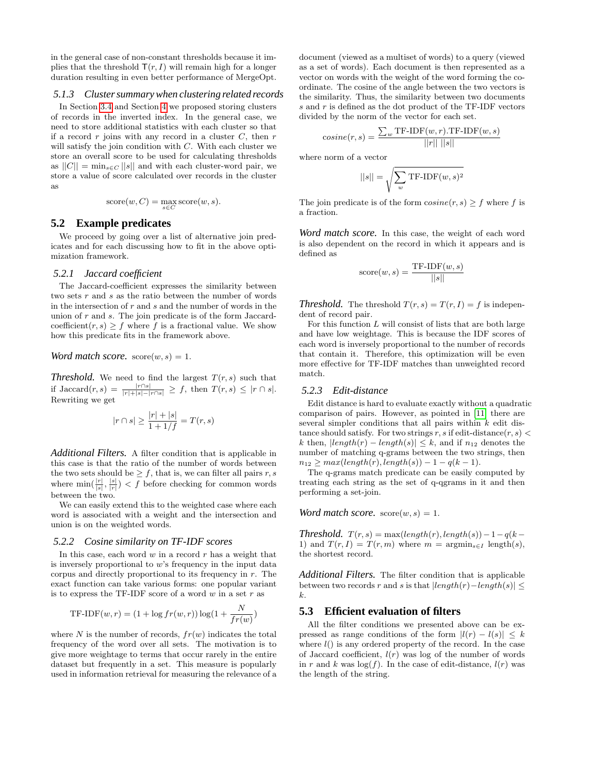in the general case of non-constant thresholds because it implies that the threshold  $T(r, I)$  will remain high for a longer duration resulting in even better performance of MergeOpt.

#### *5.1.3 Cluster summary when clustering related records*

In Section [3.4](#page-5-1) and Section [4](#page-5-0) we proposed storing clusters of records in the inverted index. In the general case, we need to store additional statistics with each cluster so that if a record  $r$  joins with any record in a cluster  $C$ , then  $r$ will satisfy the join condition with  $C$ . With each cluster we store an overall score to be used for calculating thresholds as  $||C|| = \min_{s \in C} ||s||$  and with each cluster-word pair, we store a value of score calculated over records in the cluster as

$$
score(w, C) = \max_{s \in C} score(w, s).
$$

### <span id="page-9-0"></span>**5.2 Example predicates**

We proceed by going over a list of alternative join predicates and for each discussing how to fit in the above optimization framework.

## *5.2.1 Jaccard coefficient*

The Jaccard-coefficient expresses the similarity between two sets  $r$  and  $s$  as the ratio between the number of words in the intersection of  $r$  and  $s$  and the number of words in the union of  $r$  and  $s$ . The join predicate is of the form Jaccardcoefficient $(r, s) \geq f$  where f is a fractional value. We show how this predicate fits in the framework above.

#### *Word match score.*  $score(w, s) = 1$ .

*Threshold.* We need to find the largest  $T(r, s)$  such that if Jaccard $(r, s) = \frac{|r \cap s|}{|r| + |s| - |r \cap s|} \geq f$ , then  $T(r, s) \leq |r \cap s|$ . Rewriting we get

$$
|r \cap s| \ge \frac{|r| + |s|}{1 + 1/f} = T(r, s)
$$

*Additional Filters.* A filter condition that is applicable in this case is that the ratio of the number of words between the two sets should be  $\geq f$ , that is, we can filter all pairs r, s where  $\min(\frac{|r|}{|s|}, \frac{|s|}{|r|}) < f$  before checking for common words between the two.

We can easily extend this to the weighted case where each word is associated with a weight and the intersection and union is on the weighted words.

## *5.2.2 Cosine similarity on TF-IDF scores*

In this case, each word  $w$  in a record  $r$  has a weight that is inversely proportional to  $w$ 's frequency in the input data corpus and directly proportional to its frequency in  $r$ . The exact function can take various forms: one popular variant is to express the TF-IDF score of a word  $w$  in a set  $r$  as

TF-IDF
$$
(w,r) = (1 + \log fr(w,r)) \log(1 + \frac{N}{fr(w)})
$$

where N is the number of records,  $fr(w)$  indicates the total frequency of the word over all sets. The motivation is to give more weightage to terms that occur rarely in the entire dataset but frequently in a set. This measure is popularly used in information retrieval for measuring the relevance of a document (viewed as a multiset of words) to a query (viewed as a set of words). Each document is then represented as a vector on words with the weight of the word forming the coordinate. The cosine of the angle between the two vectors is the similarity. Thus, the similarity between two documents  $s$  and  $r$  is defined as the dot product of the TF-IDF vectors divided by the norm of the vector for each set.

$$
cosine(r, s) = \frac{\sum_{w} \text{TF-IDF}(w, r). \text{TF-IDF}(w, s)}{||r|| ||s||}
$$

where norm of a vector

$$
||s|| = \sqrt{\sum_{w} \text{TF-IDF}(w, s)^2}
$$

The join predicate is of the form  $cosine(r, s) \ge f$  where f is a fraction.

*Word match score.* In this case, the weight of each word is also dependent on the record in which it appears and is defined as

$$
score(w, s) = \frac{TF\text{-IDF}(w, s)}{||s||}
$$

*Threshold.* The threshold  $T(r, s) = T(r, I) = f$  is independent of record pair.

For this function  $L$  will consist of lists that are both large and have low weightage. This is because the IDF scores of each word is inversely proportional to the number of records that contain it. Therefore, this optimization will be even more effective for TF-IDF matches than unweighted record match.

#### *5.2.3 Edit-distance*

Edit distance is hard to evaluate exactly without a quadratic comparison of pairs. However, as pointed in [\[11\]](#page-11-8) there are several simpler conditions that all pairs within  $k$  edit distance should satisfy. For two strings r, s if edit-distance  $(r, s)$  < k then,  $|length(r) - length(s)| \leq k$ , and if  $n_{12}$  denotes the number of matching q-grams between the two strings, then  $n_{12} \geq max(length(r), length(s)) - 1 - q(k - 1).$ 

The q-grams match predicate can be easily computed by treating each string as the set of q-qgrams in it and then performing a set-join.

*Word match score.*  $score(w, s) = 1$ .

*Threshold.*  $T(r, s) = \max(length(r), length(s)) - 1 - q(k -$ 1) and  $T(r, I) = T(r, m)$  where  $m = \operatorname{argmin}_{s \in I} \operatorname{length}(s)$ , the shortest record.

*Additional Filters.* The filter condition that is applicable between two records r and s is that  $|length(r)-length(s)| \leq$ k.

## <span id="page-9-1"></span>**5.3 Efficient evaluation of filters**

All the filter conditions we presented above can be expressed as range conditions of the form  $|l(r) - l(s)| \leq k$ where  $l()$  is any ordered property of the record. In the case of Jaccard coefficient,  $l(r)$  was log of the number of words in r and k was  $log(f)$ . In the case of edit-distance,  $l(r)$  was the length of the string.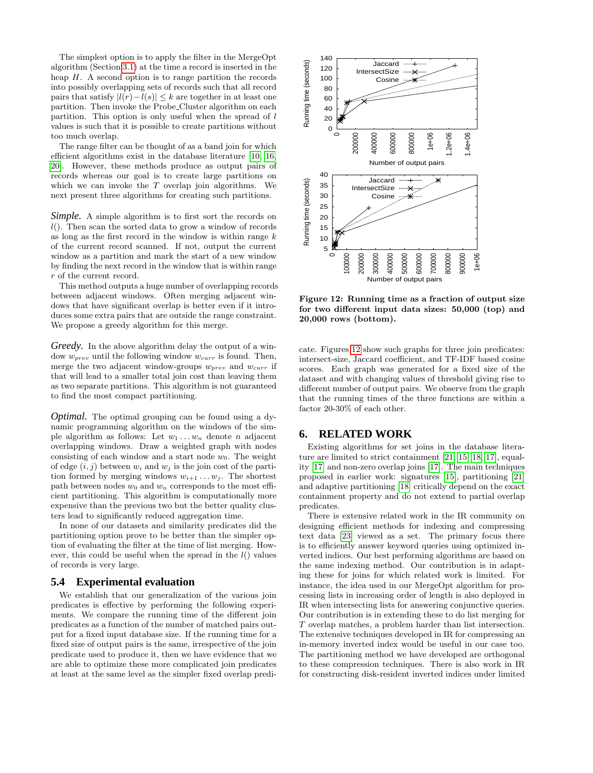The simplest option is to apply the filter in the MergeOpt algorithm (Section [3.1\)](#page-3-2) at the time a record is inserted in the heap  $H$ . A second option is to range partition the records into possibly overlapping sets of records such that all record pairs that satisfy  $|l(r)-l(s)| \leq k$  are together in at least one partition. Then invoke the Probe Cluster algorithm on each partition. This option is only useful when the spread of l values is such that it is possible to create partitions without too much overlap.

The range filter can be thought of as a band join for which efficient algorithms exist in the database literature [\[10,](#page-11-20) [16,](#page-11-6) [20\]](#page-11-7). However, these methods produce as output pairs of records whereas our goal is to create large partitions on which we can invoke the  $T$  overlap join algorithms. We next present three algorithms for creating such partitions.

*Simple.* A simple algorithm is to first sort the records on  $l$ (). Then scan the sorted data to grow a window of records as long as the first record in the window is within range  $k$ of the current record scanned. If not, output the current window as a partition and mark the start of a new window by finding the next record in the window that is within range r of the current record.

This method outputs a huge number of overlapping records between adjacent windows. Often merging adjacent windows that have significant overlap is better even if it introduces some extra pairs that are outside the range constraint. We propose a greedy algorithm for this merge.

*Greedy.* In the above algorithm delay the output of a window  $w_{prev}$  until the following window  $w_{curr}$  is found. Then, merge the two adjacent window-groups  $w_{prev}$  and  $w_{curr}$  if that will lead to a smaller total join cost than leaving them as two separate partitions. This algorithm is not guaranteed to find the most compact partitioning.

*Optimal.* The optimal grouping can be found using a dynamic programming algorithm on the windows of the simple algorithm as follows: Let  $w_1 \ldots w_n$  denote n adjacent overlapping windows. Draw a weighted graph with nodes consisting of each window and a start node  $w_0$ . The weight of edge  $(i, j)$  between  $w_i$  and  $w_j$  is the join cost of the partition formed by merging windows  $w_{i+1} \ldots w_i$ . The shortest path between nodes  $w_0$  and  $w_n$  corresponds to the most efficient partitioning. This algorithm is computationally more expensive than the previous two but the better quality clusters lead to significantly reduced aggregation time.

In none of our datasets and similarity predicates did the partitioning option prove to be better than the simpler option of evaluating the filter at the time of list merging. However, this could be useful when the spread in the  $l()$  values of records is very large.

## **5.4 Experimental evaluation**

We establish that our generalization of the various join predicates is effective by performing the following experiments. We compare the running time of the different join predicates as a function of the number of matched pairs output for a fixed input database size. If the running time for a fixed size of output pairs is the same, irrespective of the join predicate used to produce it, then we have evidence that we are able to optimize these more complicated join predicates at least at the same level as the simpler fixed overlap predi-



<span id="page-10-1"></span>Figure 12: Running time as a fraction of output size for two different input data sizes: 50,000 (top) and 20,000 rows (bottom).

cate. Figures [12](#page-10-1) show such graphs for three join predicates: intersect-size, Jaccard coefficient, and TF-IDF based cosine scores. Each graph was generated for a fixed size of the dataset and with changing values of threshold giving rise to different number of output pairs. We observe from the graph that the running times of the three functions are within a factor 20-30% of each other.

# <span id="page-10-0"></span>**6. RELATED WORK**

Existing algorithms for set joins in the database literature are limited to strict containment [\[21,](#page-11-2) [15,](#page-11-3) [18,](#page-11-1) [17\]](#page-11-0), equality [\[17\]](#page-11-0) and non-zero overlap joins [\[17\]](#page-11-0). The main techniques proposed in earlier work: signatures [\[15\]](#page-11-3), partitioning [\[21\]](#page-11-2) and adaptive partitioning [\[18\]](#page-11-1) critically depend on the exact containment property and do not extend to partial overlap predicates.

There is extensive related work in the IR community on designing efficient methods for indexing and compressing text data [\[23\]](#page-11-15) viewed as a set. The primary focus there is to efficiently answer keyword queries using optimized inverted indices. Our best performing algorithms are based on the same indexing method. Our contribution is in adapting these for joins for which related work is limited. For instance, the idea used in our MergeOpt algorithm for processing lists in increasing order of length is also deployed in IR when intersecting lists for answering conjunctive queries. Our contribution is in extending these to do list merging for T overlap matches, a problem harder than list intersection. The extensive techniques developed in IR for compressing an in-memory inverted index would be useful in our case too. The partitioning method we have developed are orthogonal to these compression techniques. There is also work in IR for constructing disk-resident inverted indices under limited